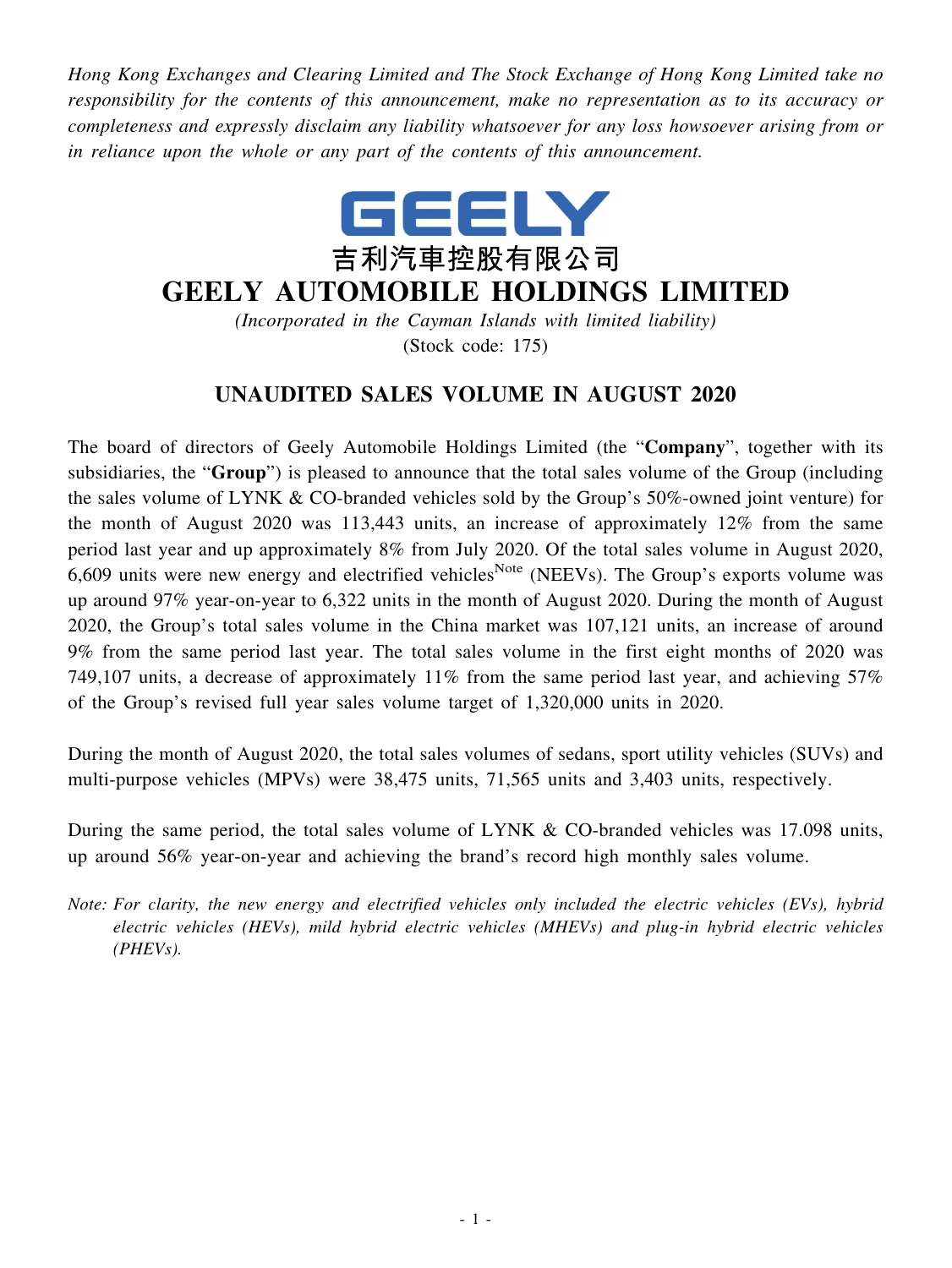*Hong Kong Exchanges and Clearing Limited and The Stock Exchange of Hong Kong Limited take no responsibility for the contents of this announcement, make no representation as to its accuracy or completeness and expressly disclaim any liability whatsoever for any loss howsoever arising from or in reliance upon the whole or any part of the contents of this announcement.*



## **GEELY AUTOMOBILE HOLDINGS LIMITED**

*(Incorporated in the Cayman Islands with limited liability)* (Stock code: 175)

## **UNAUDITED SALES VOLUME IN AUGUST 2020**

The board of directors of Geely Automobile Holdings Limited (the "**Company**", together with its subsidiaries, the "**Group**") is pleased to announce that the total sales volume of the Group (including the sales volume of LYNK & CO-branded vehicles sold by the Group's 50%-owned joint venture) for the month of August 2020 was 113,443 units, an increase of approximately 12% from the same period last year and up approximately 8% from July 2020. Of the total sales volume in August 2020, 6,609 units were new energy and electrified vehicles<sup>Note</sup> (NEEVs). The Group's exports volume was up around 97% year-on-year to 6,322 units in the month of August 2020. During the month of August 2020, the Group's total sales volume in the China market was 107,121 units, an increase of around 9% from the same period last year. The total sales volume in the first eight months of 2020 was 749,107 units, a decrease of approximately 11% from the same period last year, and achieving 57% of the Group's revised full year sales volume target of 1,320,000 units in 2020.

During the month of August 2020, the total sales volumes of sedans, sport utility vehicles (SUVs) and multi-purpose vehicles (MPVs) were 38,475 units, 71,565 units and 3,403 units, respectively.

During the same period, the total sales volume of LYNK & CO-branded vehicles was 17.098 units, up around 56% year-on-year and achieving the brand's record high monthly sales volume.

*Note: For clarity, the new energy and electrified vehicles only included the electric vehicles (EVs), hybrid electric vehicles (HEVs), mild hybrid electric vehicles (MHEVs) and plug-in hybrid electric vehicles (PHEVs).*